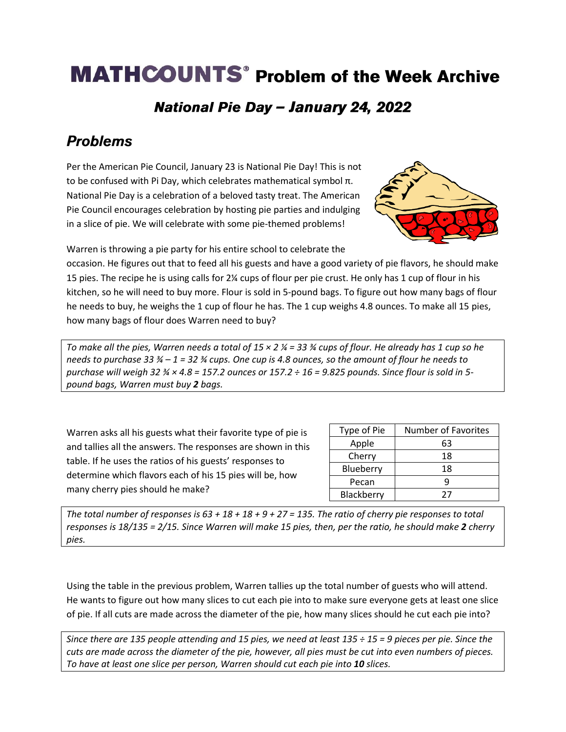# **MATHCOUNTS<sup>®</sup> Problem of the Week Archive**

#### National Pie Day - January 24, 2022

## **Problems**

Per the American Pie Council, January 23 is National Pie Day! This is not to be confused with Pi Day, which celebrates mathematical symbol π. National Pie Day is a celebration of a beloved tasty treat. The American Pie Council encourages celebration by hosting pie parties and indulging in a slice of pie. We will celebrate with some pie-themed problems!



Warren is throwing a pie party for his entire school to celebrate the

occasion. He figures out that to feed all his guests and have a good variety of pie flavors, he should make 15 pies. The recipe he is using calls for 2¼ cups of flour per pie crust. He only has 1 cup of flour in his kitchen, so he will need to buy more. Flour is sold in 5-pound bags. To figure out how many bags of flour he needs to buy, he weighs the 1 cup of flour he has. The 1 cup weighs 4.8 ounces. To make all 15 pies, how many bags of flour does Warren need to buy?

*To make all the pies, Warren needs a total of 15 × 2 ¼ = 33 ¾ cups of flour. He already has 1 cup so he needs to purchase 33 ¾ – 1 = 32 ¾ cups. One cup is 4.8 ounces, so the amount of flour he needs to purchase will weigh 32 ¾ × 4.8 = 157.2 ounces or 157.2 ÷ 16 = 9.825 pounds. Since flour is sold in 5 pound bags, Warren must buy 2 bags.* 

Warren asks all his guests what their favorite type of pie is and tallies all the answers. The responses are shown in this table. If he uses the ratios of his guests' responses to determine which flavors each of his 15 pies will be, how many cherry pies should he make?

| Type of Pie | <b>Number of Favorites</b> |
|-------------|----------------------------|
| Apple       | 63                         |
| Cherry      | 18                         |
| Blueberry   | 18                         |
| Pecan       |                            |
| Blackberry  | 77                         |

*The total number of responses is 63 + 18 + 18 + 9 + 27 = 135. The ratio of cherry pie responses to total responses is 18/135 = 2/15. Since Warren will make 15 pies, then, per the ratio, he should make 2 cherry pies.*

Using the table in the previous problem, Warren tallies up the total number of guests who will attend. He wants to figure out how many slices to cut each pie into to make sure everyone gets at least one slice of pie. If all cuts are made across the diameter of the pie, how many slices should he cut each pie into?

*Since there are 135 people attending and 15 pies, we need at least 135 ÷ 15 = 9 pieces per pie. Since the cuts are made across the diameter of the pie, however, all pies must be cut into even numbers of pieces. To have at least one slice per person, Warren should cut each pie into 10 slices.*